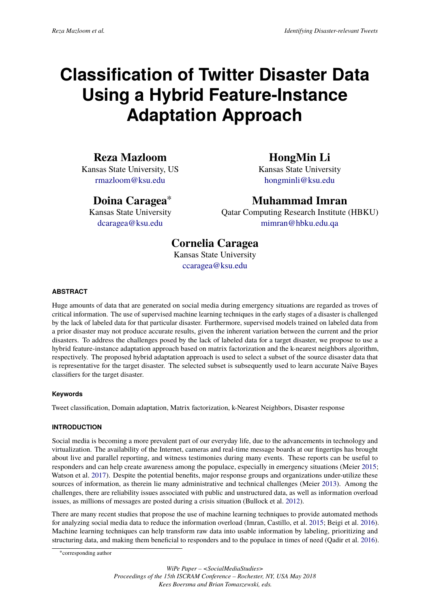# **Classification of Twitter Disaster Data Using a Hybrid Feature-Instance Adaptation Approach**

# **Reza Mazloom**

Kansas State University, US [rmazloom@ksu.edu](mailto:rmazloom@ksu.edu)

# **Doina Caragea**<sup>∗</sup>

Kansas State University [dcaragea@ksu.edu](mailto:dcaragea@ksu.edu)

# **HongMin Li**

Kansas State University [hongminli@ksu.edu](mailto:hongminli@ksu.edu)

# **Muhammad Imran**

Qatar Computing Research Institute (HBKU) [mimran@hbku.edu.qa](mailto:mimran@hbku.edu.qa)

# **Cornelia Caragea**

Kansas State University [ccaragea@ksu.edu](mailto:ccaragea@ksu.edu)

#### **ABSTRACT**

Huge amounts of data that are generated on social media during emergency situations are regarded as troves of critical information. The use of supervised machine learning techniques in the early stages of a disaster is challenged by the lack of labeled data for that particular disaster. Furthermore, supervised models trained on labeled data from a prior disaster may not produce accurate results, given the inherent variation between the current and the prior disasters. To address the challenges posed by the lack of labeled data for a target disaster, we propose to use a hybrid feature-instance adaptation approach based on matrix factorization and the k-nearest neighbors algorithm, respectively. The proposed hybrid adaptation approach is used to select a subset of the source disaster data that is representative for the target disaster. The selected subset is subsequently used to learn accurate Naïve Bayes classifiers for the target disaster.

#### **Keywords**

Tweet classification, Domain adaptation, Matrix factorization, k-Nearest Neighbors, Disaster response

#### **INTRODUCTION**

Social media is becoming a more prevalent part of our everyday life, due to the advancements in technology and virtualization. The availability of the Internet, cameras and real-time message boards at our fingertips has brought about live and parallel reporting, and witness testimonies during many events. These reports can be useful to responders and can help create awareness among the populace, especially in emergency situations (Meier [2015;](#page-10-0) Watson et al. [2017\)](#page-10-1). Despite the potential benefits, major response groups and organizations under-utilize these sources of information, as therein lie many administrative and technical challenges (Meier [2013\)](#page-10-2). Among the challenges, there are reliability issues associated with public and unstructured data, as well as information overload issues, as millions of messages are posted during a crisis situation (Bullock et al. [2012\)](#page-9-0).

There are many recent studies that propose the use of machine learning techniques to provide automated methods for analyzing social media data to reduce the information overload (Imran, Castillo, et al. [2015;](#page-9-1) Beigi et al. [2016\)](#page-9-2). Machine learning techniques can help transform raw data into usable information by labeling, prioritizing and structuring data, and making them beneficial to responders and to the populace in times of need (Qadir et al. [2016\)](#page-10-3).

<sup>∗</sup> corresponding author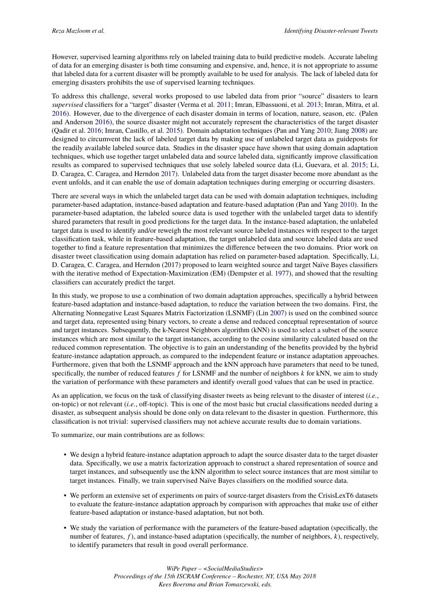However, supervised learning algorithms rely on labeled training data to build predictive models. Accurate labeling of data for an emerging disaster is both time consuming and expensive, and, hence, it is not appropriate to assume that labeled data for a current disaster will be promptly available to be used for analysis. The lack of labeled data for emerging disasters prohibits the use of supervised learning techniques.

To address this challenge, several works proposed to use labeled data from prior "source" disasters to learn *supervised* classifiers for a "target" disaster (Verma et al. [2011;](#page-10-4) Imran, Elbassuoni, et al. [2013;](#page-9-3) Imran, Mitra, et al. [2016\)](#page-9-4). However, due to the divergence of each disaster domain in terms of location, nature, season, etc. (Palen and Anderson [2016\)](#page-10-5), the source disaster might not accurately represent the characteristics of the target disaster (Qadir et al. [2016;](#page-10-3) Imran, Castillo, et al. [2015\)](#page-9-1). Domain adaptation techniques (Pan and Yang [2010;](#page-10-6) Jiang [2008\)](#page-9-5) are designed to circumvent the lack of labeled target data by making use of unlabeled target data as guideposts for the readily available labeled source data. Studies in the disaster space have shown that using domain adaptation techniques, which use together target unlabeled data and source labeled data, significantly improve classification results as compared to supervised techniques that use solely labeled source data (Li, Guevara, et al. [2015;](#page-10-7) Li, D. Caragea, C. Caragea, and Herndon [2017\)](#page-9-6). Unlabeled data from the target disaster become more abundant as the event unfolds, and it can enable the use of domain adaptation techniques during emerging or occurring disasters.

There are several ways in which the unlabeled target data can be used with domain adaptation techniques, including parameter-based adaptation, instance-based adaptation and feature-based adaptation (Pan and Yang [2010\)](#page-10-6). In the parameter-based adaptation, the labeled source data is used together with the unlabeled target data to identify shared parameters that result in good predictions for the target data. In the instance-based adaptation, the unlabeled target data is used to identify and/or reweigh the most relevant source labeled instances with respect to the target classification task, while in feature-based adaptation, the target unlabeled data and source labeled data are used together to find a feature representation that minimizes the difference between the two domains. Prior work on disaster tweet classification using domain adaptation has relied on parameter-based adaptation. Specifically, Li, D. Caragea, C. Caragea, and Herndon (2017) proposed to learn weighted source and target Naïve Bayes classifiers with the iterative method of Expectation-Maximization (EM) (Dempster et al. [1977\)](#page-9-7), and showed that the resulting classifiers can accurately predict the target.

In this study, we propose to use a combination of two domain adaptation approaches, specifically a hybrid between feature-based adaptation and instance-based adaptation, to reduce the variation between the two domains. First, the Alternating Nonnegative Least Squares Matrix Factorization (LSNMF) (Lin [2007\)](#page-10-8) is used on the combined source and target data, represented using binary vectors, to create a dense and reduced conceptual representation of source and target instances. Subsequently, the k-Nearest Neighbors algorithm (kNN) is used to select a subset of the source instances which are most similar to the target instances, according to the cosine similarity calculated based on the reduced common representation. The objective is to gain an understanding of the benefits provided by the hybrid feature-instance adaptation approach, as compared to the independent feature or instance adaptation approaches. Furthermore, given that both the LSNMF approach and the kNN approach have parameters that need to be tuned, specifically, the number of reduced features *f* for LSNMF and the number of neighbors *k* for kNN, we aim to study the variation of performance with these parameters and identify overall good values that can be used in practice.

As an application, we focus on the task of classifying disaster tweets as being relevant to the disaster of interest (*i.e.*, on-topic) or not relevant (*i.e.*, off-topic). This is one of the most basic but crucial classifications needed during a disaster, as subsequent analysis should be done only on data relevant to the disaster in question. Furthermore, this classification is not trivial: supervised classifiers may not achieve accurate results due to domain variations.

To summarize, our main contributions are as follows:

- We design a hybrid feature-instance adaptation approach to adapt the source disaster data to the target disaster data. Specifically, we use a matrix factorization approach to construct a shared representation of source and target instances, and subsequently use the kNN algorithm to select source instances that are most similar to target instances. Finally, we train supervised Naïve Bayes classifiers on the modified source data.
- We perform an extensive set of experiments on pairs of source-target disasters from the CrisisLexT6 datasets to evaluate the feature-instance adaptation approach by comparison with approaches that make use of either feature-based adaptation or instance-based adaptation, but not both.
- We study the variation of performance with the parameters of the feature-based adaptation (specifically, the number of features, *f* ), and instance-based adaptation (specifically, the number of neighbors, *k*), respectively, to identify parameters that result in good overall performance.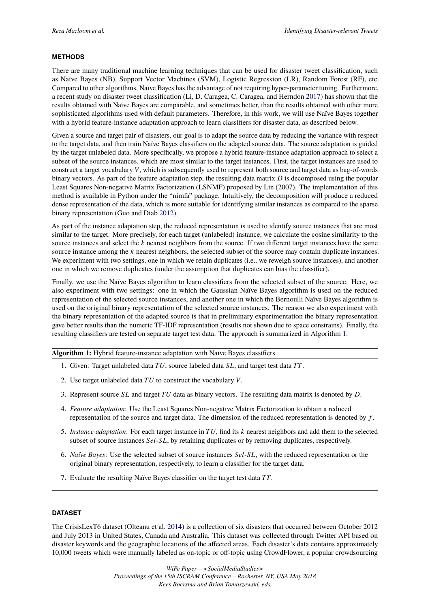#### **METHODS**

There are many traditional machine learning techniques that can be used for disaster tweet classification, such as Naïve Bayes (NB), Support Vector Machines (SVM), Logistic Regression (LR), Random Forest (RF), etc. Compared to other algorithms, Naïve Bayes has the advantage of not requiring hyper-parameter tuning. Furthermore, a recent study on disaster tweet classification (Li, D. Caragea, C. Caragea, and Herndon [2017\)](#page-9-6) has shown that the results obtained with Naïve Bayes are comparable, and sometimes better, than the results obtained with other more sophisticated algorithms used with default parameters. Therefore, in this work, we will use Naïve Bayes together with a hybrid feature-instance adaptation approach to learn classifiers for disaster data, as described below.

Given a source and target pair of disasters, our goal is to adapt the source data by reducing the variance with respect to the target data, and then train Naïve Bayes classifiers on the adapted source data. The source adaptation is guided by the target unlabeled data. More specifically, we propose a hybrid feature-instance adaptation approach to select a subset of the source instances, which are most similar to the target instances. First, the target instances are used to construct a target vocabulary *V*, which is subsequently used to represent both source and target data as bag-of-words binary vectors. As part of the feature adaptation step, the resulting data matrix *D* is decomposed using the popular Least Squares Non-negative Matrix Factorization (LSNMF) proposed by Lin (2007). The implementation of this method is available in Python under the "nimfa" package. Intuitively, the decomposition will produce a reduced dense representation of the data, which is more suitable for identifying similar instances as compared to the sparse binary representation (Guo and Diab [2012\)](#page-9-8).

As part of the instance adaptation step, the reduced representation is used to identify source instances that are most similar to the target. More precisely, for each target (unlabeled) instance, we calculate the cosine similarity to the source instances and select the *k* nearest neighbors from the source. If two different target instances have the same source instance among the *k* nearest neighbors, the selected subset of the source may contain duplicate instances. We experiment with two settings, one in which we retain duplicates (i.e., we reweigh source instances), and another one in which we remove duplicates (under the assumption that duplicates can bias the classifier).

Finally, we use the Naïve Bayes algorithm to learn classifiers from the selected subset of the source. Here, we also experiment with two settings: one in which the Gaussian Naïve Bayes algorithm is used on the reduced representation of the selected source instances, and another one in which the Bernoulli Naïve Bayes algorithm is used on the original binary representation of the selected source instances. The reason we also experiment with the binary representation of the adapted source is that in preliminary experimentation the binary representation gave better results than the numeric TF-IDF representation (results not shown due to space constrains). Finally, the resulting classifiers are tested on separate target test data. The approach is summarized in Algorithm [1.](#page-2-0)

**Algorithm 1:** Hybrid feature-instance adaptation with Naïve Bayes classifiers

- 1. Given: Target unlabeled data *TU*, source labeled data *SL*, and target test data *TT*.
- 2. Use target unlabeled data *TU* to construct the vocabulary *V*.
- 3. Represent source *SL* and target *TU* data as binary vectors. The resulting data matrix is denoted by *D*.
- 4. *Feature adaptation*: Use the Least Squares Non-negative Matrix Factorization to obtain a reduced representation of the source and target data. The dimension of the reduced representation is denoted by *f* .
- 5. *Instance adaptation*: For each target instance in *TU*, find its *k* nearest neighbors and add them to the selected subset of source instances *Sel*-*SL*, by retaining duplicates or by removing duplicates, respectively.
- 6. *Naïve Bayes*: Use the selected subset of source instances *Sel*-*SL*, with the reduced representation or the original binary representation, respectively, to learn a classifier for the target data.
- <span id="page-2-0"></span>7. Evaluate the resulting Naïve Bayes classifier on the target test data *TT*.

#### **DATASET**

The CrisisLexT6 dataset (Olteanu et al. [2014\)](#page-10-9) is a collection of six disasters that occurred between October 2012 and July 2013 in United States, Canada and Australia. This dataset was collected through Twitter API based on disaster keywords and the geographic locations of the affected areas. Each disaster's data contains approximately 10,000 tweets which were manually labeled as on-topic or off-topic using CrowdFlower, a popular crowdsourcing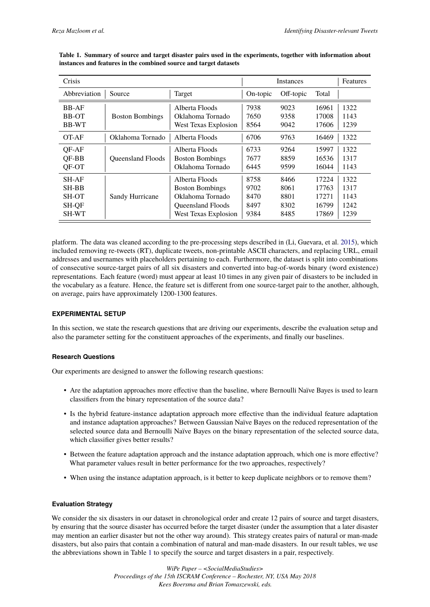| Crisis       |                          |                          |          | <b>Features</b> |       |      |
|--------------|--------------------------|--------------------------|----------|-----------------|-------|------|
| Abbreviation | Source                   | Target                   | On-topic | Off-topic       | Total |      |
| <b>BB-AF</b> | <b>Boston Bombings</b>   | Alberta Floods           | 7938     | 9023            | 16961 | 1322 |
| <b>BB-OT</b> |                          | Oklahoma Tornado         | 7650     | 9358            | 17008 | 1143 |
| <b>BB-WT</b> |                          | West Texas Explosion     | 8564     | 9042            | 17606 | 1239 |
| OT-AF        | Oklahoma Tornado         | Alberta Floods           | 6706     | 9763            | 16469 | 1322 |
| OF-AF        | <b>Oueensland Floods</b> | Alberta Floods           | 6733     | 9264            | 15997 | 1322 |
| QF-BB        |                          | <b>Boston Bombings</b>   | 7677     | 8859            | 16536 | 1317 |
| QF-OT        |                          | Oklahoma Tornado         | 6445     | 9599            | 16044 | 1143 |
| <b>SH-AF</b> | Sandy Hurricane          | Alberta Floods           | 8758     | 8466            | 17224 | 1322 |
| <b>SH-BB</b> |                          | <b>Boston Bombings</b>   | 9702     | 8061            | 17763 | 1317 |
| <b>SH-OT</b> |                          | Oklahoma Tornado         | 8470     | 8801            | 17271 | 1143 |
| SH-QF        |                          | <b>Oueensland Floods</b> | 8497     | 8302            | 16799 | 1242 |
| SH-WT        |                          | West Texas Explosion     | 9384     | 8485            | 17869 | 1239 |

<span id="page-3-0"></span>**Table 1. Summary of source and target disaster pairs used in the experiments, together with information about instances and features in the combined source and target datasets**

platform. The data was cleaned according to the pre-processing steps described in (Li, Guevara, et al. [2015\)](#page-10-7), which included removing re-tweets (RT), duplicate tweets, non-printable ASCII characters, and replacing URL, email addresses and usernames with placeholders pertaining to each. Furthermore, the dataset is split into combinations of consecutive source-target pairs of all six disasters and converted into bag-of-words binary (word existence) representations. Each feature (word) must appear at least 10 times in any given pair of disasters to be included in the vocabulary as a feature. Hence, the feature set is different from one source-target pair to the another, although, on average, pairs have approximately 1200-1300 features.

#### **EXPERIMENTAL SETUP**

In this section, we state the research questions that are driving our experiments, describe the evaluation setup and also the parameter setting for the constituent approaches of the experiments, and finally our baselines.

#### **Research Questions**

Our experiments are designed to answer the following research questions:

- Are the adaptation approaches more effective than the baseline, where Bernoulli Naïve Bayes is used to learn classifiers from the binary representation of the source data?
- Is the hybrid feature-instance adaptation approach more effective than the individual feature adaptation and instance adaptation approaches? Between Gaussian Naïve Bayes on the reduced representation of the selected source data and Bernoulli Naïve Bayes on the binary representation of the selected source data, which classifier gives better results?
- Between the feature adaptation approach and the instance adaptation approach, which one is more effective? What parameter values result in better performance for the two approaches, respectively?
- When using the instance adaptation approach, is it better to keep duplicate neighbors or to remove them?

#### **Evaluation Strategy**

We consider the six disasters in our dataset in chronological order and create 12 pairs of source and target disasters, by ensuring that the source disaster has occurred before the target disaster (under the assumption that a later disaster may mention an earlier disaster but not the other way around). This strategy creates pairs of natural or man-made disasters, but also pairs that contain a combination of natural and man-made disasters. In our result tables, we use the abbreviations shown in Table [1](#page-3-0) to specify the source and target disasters in a pair, respectively.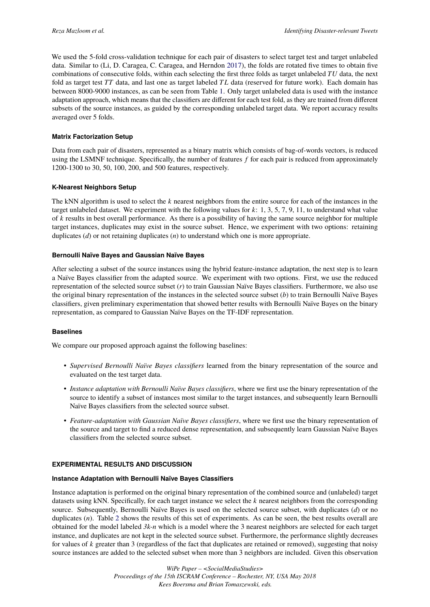We used the 5-fold cross-validation technique for each pair of disasters to select target test and target unlabeled data. Similar to (Li, D. Caragea, C. Caragea, and Herndon [2017\)](#page-9-6), the folds are rotated five times to obtain five combinations of consecutive folds, within each selecting the first three folds as target unlabeled *TU* data, the next fold as target test *TT* data, and last one as target labeled *T L* data (reserved for future work). Each domain has between 8000-9000 instances, as can be seen from Table [1.](#page-3-0) Only target unlabeled data is used with the instance adaptation approach, which means that the classifiers are different for each test fold, as they are trained from different subsets of the source instances, as guided by the corresponding unlabeled target data. We report accuracy results averaged over 5 folds.

#### **Matrix Factorization Setup**

Data from each pair of disasters, represented as a binary matrix which consists of bag-of-words vectors, is reduced using the LSMNF technique. Specifically, the number of features *f* for each pair is reduced from approximately 1200-1300 to 30, 50, 100, 200, and 500 features, respectively.

#### **K-Nearest Neighbors Setup**

The kNN algorithm is used to select the *k* nearest neighbors from the entire source for each of the instances in the target unlabeled dataset. We experiment with the following values for *k*: 1, 3, 5, 7, 9, 11, to understand what value of *k* results in best overall performance. As there is a possibility of having the same source neighbor for multiple target instances, duplicates may exist in the source subset. Hence, we experiment with two options: retaining duplicates (*d*) or not retaining duplicates (*n*) to understand which one is more appropriate.

#### **Bernoulli Naïve Bayes and Gaussian Naïve Bayes**

After selecting a subset of the source instances using the hybrid feature-instance adaptation, the next step is to learn a Naïve Bayes classifier from the adapted source. We experiment with two options. First, we use the reduced representation of the selected source subset (*r*) to train Gaussian Naïve Bayes classifiers. Furthermore, we also use the original binary representation of the instances in the selected source subset (*b*) to train Bernoulli Naïve Bayes classifiers, given preliminary experimentation that showed better results with Bernoulli Naïve Bayes on the binary representation, as compared to Gaussian Naïve Bayes on the TF-IDF representation.

#### **Baselines**

We compare our proposed approach against the following baselines:

- *Supervised Bernoulli Naïve Bayes classifiers* learned from the binary representation of the source and evaluated on the test target data.
- *Instance adaptation with Bernoulli Naïve Bayes classifiers*, where we first use the binary representation of the source to identify a subset of instances most similar to the target instances, and subsequently learn Bernoulli Naïve Bayes classifiers from the selected source subset.
- *Feature-adaptation with Gaussian Naïve Bayes classifiers*, where we first use the binary representation of the source and target to find a reduced dense representation, and subsequently learn Gaussian Naïve Bayes classifiers from the selected source subset.

#### **EXPERIMENTAL RESULTS AND DISCUSSION**

#### **Instance Adaptation with Bernoulli Naïve Bayes Classifiers**

Instance adaptation is performed on the original binary representation of the combined source and (unlabeled) target datasets using kNN. Specifically, for each target instance we select the *k* nearest neighbors from the corresponding source. Subsequently, Bernoulli Naïve Bayes is used on the selected source subset, with duplicates (*d*) or no duplicates (*n*). Table [2](#page-5-0) shows the results of this set of experiments. As can be seen, the best results overall are obtained for the model labeled *3k-n* which is a model where the 3 nearest neighbors are selected for each target instance, and duplicates are not kept in the selected source subset. Furthermore, the performance slightly decreases for values of *k* greater than 3 (regardless of the fact that duplicates are retained or removed), suggesting that noisy source instances are added to the selected subset when more than 3 neighbors are included. Given this observation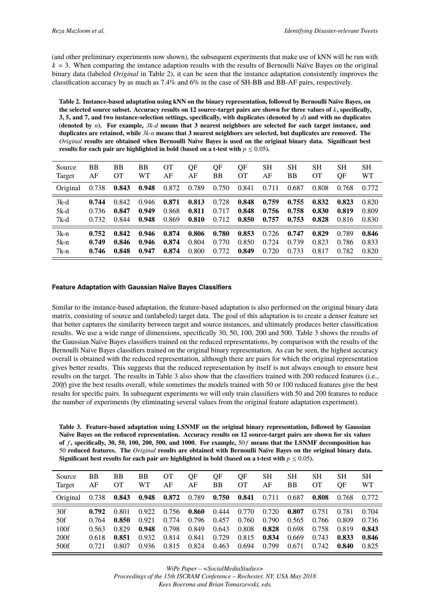(and other preliminary experiments now shown), the subsequent experiments that make use of kNN will be run with  $k = 3$ . When comparing the instance adaption results with the results of Bernoulli Naïve Bayes on the original binary data (labeled *Original* in Table [2\)](#page-5-0), it can be seen that the instance adaptation consistently improves the classification accuracy by as much as 7.4% and 6% in the case of SH-BB and BB-AF pairs, respectively.

<span id="page-5-0"></span>**Table 2. Instance-based adaptation using kNN on the binary representation, followed by Bernoulli Naïve Bayes, on the selected source subset. Accuracy results on 12 source-target pairs are shown for three values of** *k***, specifically, 3, 5, and 7, and two instance-selection settings, specifically, with duplicates (denoted by** *d***) and with no duplicates (denoted by** *n***). For example,** *3k-d* **means that 3 nearest neighbors are selected for each target instance, and duplicates are retained, while** *3k-n* **means that 3 nearest neighbors are selected, but duplicates are removed. The** *Original* **results are obtained when Bernoulli Naïve Bayes is used on the original binary data. Significant best results for each pair are highlighted in bold (based on a t-test with**  $p \le 0.05$ **).** 

| Source   | BB    | BB    | BB    | OТ    | QF    | QF    | QF        | SН    | SН    | <b>SH</b> | <b>SH</b> | SН        |
|----------|-------|-------|-------|-------|-------|-------|-----------|-------|-------|-----------|-----------|-----------|
| Target   | AF    | OТ    | WT    | AF    | AF    | ΒB    | <b>OT</b> | AF    | BB    | OТ        | QF        | <b>WT</b> |
| Original | 0.738 | 0.843 | 0.948 | 0.872 | 0.789 | 0.750 | 0.841     | 0.711 | 0.687 | 0.808     | 0.768     | 0.772     |
| $3k-d$   | 0.744 | 0.842 | 0.946 | 0.871 | 0.813 | 0.728 | 0.848     | 0.759 | 0.755 | 0.832     | 0.823     | 0.820     |
| $5k-d$   | 0.736 | 0.847 | 0.949 | 0.868 | 0.811 | 0.717 | 0.848     | 0.756 | 0.758 | 0.830     | 0.819     | 0.809     |
| 7k-d     | 0.732 | 0.844 | 0.948 | 0.869 | 0.810 | 0.712 | 0.850     | 0.757 | 0.753 | 0.828     | 0.816     | 0.830     |
| $3k-n$   | 0.752 | 0.842 | 0.946 | 0.874 | 0.806 | 0.780 | 0.853     | 0.726 | 0.747 | 0.829     | 0.789     | 0.846     |
| $5k-n$   | 0.749 | 0.846 | 0.946 | 0.874 | 0.804 | 0.770 | 0.850     | 0.724 | 0.739 | 0.823     | 0.786     | 0.833     |
| $7k-n$   | 0.746 | 0.848 | 0.947 | 0.874 | 0.800 | 0.772 | 0.849     | 0.720 | 0.733 | 0.817     | 0.782     | 0.820     |

#### **Feature Adaptation with Gaussian Naïve Bayes Classifiers**

Similar to the instance-based adaptation, the feature-based adaptation is also performed on the original binary data matrix, consisting of source and (unlabeled) target data. The goal of this adaptation is to create a denser feature set that better captures the similarity between target and source instances, and ultimately produces better classification results. We use a wide range of dimensions, specifically 30, 50, 100, 200 and 500. Table [3](#page-5-1) shows the results of the Gaussian Naïve Bayes classifiers trained on the reduced representations, by comparison with the results of the Bernoulli Naïve Bayes classifiers trained on the original binary representation. As can be seen, the highest accuracy overall is obtained with the reduced representation, although there are pairs for which the original representation gives better results. This suggests that the reduced representation by itself is not always enough to ensure best results on the target. The results in Table [3](#page-5-1) also show that the classifiers trained with 200 reduced features (i.e., *200f*) give the best results overall, while sometimes the models trained with 50 or 100 reduced features give the best results for specific pairs. In subsequent experiments we will only train classifiers with 50 and 200 features to reduce the number of experiments (by eliminating several values from the original feature adaptation experiment).

<span id="page-5-1"></span>

| Table 3. Feature-based adaptation using LSNMF on the original binary representation, followed by Gaussian      |
|----------------------------------------------------------------------------------------------------------------|
| Naïve Bayes on the reduced representation. Accuracy results on 12 source-target pairs are shown for six values |
| of f, specifically, 30, 50, 100, 200, 500, and 1000. For example, $50f$ means that the LSNMF decomposition has |
| 50 reduced features. The Original results are obtained with Bernoulli Naïve Bayes on the original binary data. |
| Significant best results for each pair are highlighted in bold (based on a t-test with $p \le 0.05$ ).         |
|                                                                                                                |

| Source   | <b>BB</b> | BB    | BB    | OТ    | OF    | OF    | OF        | SН    | SН    | <b>SH</b> | SН    | SН    |
|----------|-----------|-------|-------|-------|-------|-------|-----------|-------|-------|-----------|-------|-------|
| Target   | AF        | OТ    | WТ    | AF    | AF    | ΒB    | <b>OT</b> | AF    | BB    | <b>OT</b> | OF    | WТ    |
| Original | 0.738     | 0.843 | 0.948 | 0.872 | 0.789 | 0.750 | 0.841     | 0.711 | 0.687 | 0.808     | 0.768 | 0.772 |
| 30f      | 0.792     | 0.801 | 0.922 | 0.756 | 0.860 | 0.444 | 0.770     | 0.720 | 0.807 | 0.751     | 0.781 | 0.704 |
| 50f      | 0.764     | 0.850 | 0.921 | 0.774 | 0.796 | 0.457 | 0.760     | 0.790 | 0.565 | 0.766     | 0.809 | 0.736 |
| 100f     | 0.563     | 0.829 | 0.948 | 0.798 | 0.849 | 0.643 | 0.808     | 0.828 | 0.698 | 0.758     | 0.819 | 0.843 |
| 200f     | 0.618     | 0.851 | 0.932 | 0.814 | 0.841 | 0.729 | 0.815     | 0.834 | 0.669 | 0.743     | 0.833 | 0.846 |
| 500f     | 0.721     | 0.807 | 0.936 | 0.815 | 0.824 | 0.463 | 0.694     | 0.799 | 0.671 | 0.742     | 0.840 | 0.825 |
|          |           |       |       |       |       |       |           |       |       |           |       |       |

*WiPe Paper – <SocialMediaStudies>*

*Proceedings of the 15th ISCRAM Conference – Rochester, NY, USA May 2018 Kees Boersma and Brian Tomaszewski, eds.*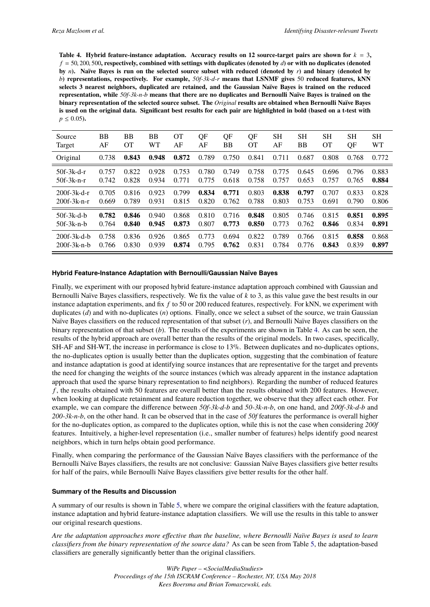<span id="page-6-0"></span>**Table 4. Hybrid feature-instance adaptation. Accuracy results on 12 source-target pairs are shown for**  $k = 3$ **,** *<sup>f</sup>* <sup>=</sup> <sup>50</sup>, <sup>200</sup>, <sup>500</sup>**, respectively, combined with settings with duplicates (denoted by** *<sup>d</sup>***) or with no duplicates (denoted by** *n***). Naïve Bayes is run on the selected source subset with reduced (denoted by** *r***) and binary (denoted by** *b***) representations, respectively. For example,** *50f-3k-d-r* **means that LSNMF gives** 50 **reduced features, kNN selects 3 nearest neighbors, duplicated are retained, and the Gaussian Naïve Bayes is trained on the reduced representation, while** *50f-3k-n-b* **means that there are no duplicates and Bernoulli Naïve Bayes is trained on the binary representation of the selected source subset. The** *Original* **results are obtained when Bernoulli Naïve Bayes is used on the original data. Significant best results for each pair are highlighted in bold (based on a t-test with**  $p \leq 0.05$ ).

| Source              | <b>BB</b> | BB    | BB    | <b>OT</b> | QF    | QF    | QF        | <b>SH</b> | <b>SH</b> | <b>SH</b> | <b>SH</b> | <b>SH</b> |
|---------------------|-----------|-------|-------|-----------|-------|-------|-----------|-----------|-----------|-----------|-----------|-----------|
| Target              | AF        | OТ    | WТ    | AF        | AF    | ВB    | <b>OT</b> | AF        | ВB        | <b>OT</b> | QF        | <b>WT</b> |
| Original            | 0.738     | 0.843 | 0.948 | 0.872     | 0.789 | 0.750 | 0.841     | 0.711     | 0.687     | 0.808     | 0.768     | 0.772     |
| $50f-3k-d-r$        | 0.757     | 0.822 | 0.928 | 0.753     | 0.780 | 0.749 | 0.758     | 0.775     | 0.645     | 0.696     | 0.796     | 0.883     |
| $50f-3k-n-r$        | 0.742     | 0.828 | 0.934 | 0.771     | 0.775 | 0.618 | 0.758     | 0.757     | 0.653     | 0.757     | 0.765     | 0.884     |
| $200f-3k-d-r$       | 0.705     | 0.816 | 0.923 | 0.799     | 0.834 | 0.771 | 0.803     | 0.838     | 0.797     | 0.707     | 0.833     | 0.828     |
| $200f - 3k - n - r$ | 0.669     | 0.789 | 0.931 | 0.815     | 0.820 | 0.762 | 0.788     | 0.803     | 0.753     | 0.691     | 0.790     | 0.806     |
| $50f-3k-d-b$        | 0.782     | 0.846 | 0.940 | 0.868     | 0.810 | 0.716 | 0.848     | 0.805     | 0.746     | 0.815     | 0.851     | 0.895     |
| $50f-3k-n-b$        | 0.764     | 0.840 | 0.945 | 0.873     | 0.807 | 0.773 | 0.850     | 0.773     | 0.762     | 0.846     | 0.834     | 0.891     |
| $200f-3k-d-h$       | 0.758     | 0.836 | 0.926 | 0.865     | 0.773 | 0.694 | 0.822     | 0.789     | 0.766     | 0.815     | 0.858     | 0.868     |
| $200f-3k-n-h$       | 0.766     | 0.830 | 0.939 | 0.874     | 0.795 | 0.762 | 0.831     | 0.784     | 0.776     | 0.843     | 0.839     | 0.897     |

#### **Hybrid Feature-Instance Adaptation with Bernoulli/Gaussian Naïve Bayes**

Finally, we experiment with our proposed hybrid feature-instance adaptation approach combined with Gaussian and Bernoulli Naïve Bayes classifiers, respectively. We fix the value of *k* to 3, as this value gave the best results in our instance adaptation experiments, and fix *f* to 50 or 200 reduced features, respectively. For kNN, we experiment with duplicates (*d*) and with no-duplicates (*n*) options. Finally, once we select a subset of the source, we train Gaussian Naïve Bayes classifiers on the reduced representation of that subset (*r*), and Bernoulli Naïve Bayes classifiers on the binary representation of that subset (*b*). The results of the experiments are shown in Table [4.](#page-6-0) As can be seen, the results of the hybrid approach are overall better than the results of the original models. In two cases, specifically, SH-AF and SH-WT, the increase in performance is close to 13%. Between duplicates and no-duplicates options, the no-duplicates option is usually better than the duplicates option, suggesting that the combination of feature and instance adaptation is good at identifying source instances that are representative for the target and prevents the need for changing the weights of the source instances (which was already apparent in the instance adaptation approach that used the sparse binary representation to find neighbors). Regarding the number of reduced features *f* , the results obtained with 50 features are overall better than the results obtained with 200 features. However, when looking at duplicate retainment and feature reduction together, we observe that they affect each other. For example, we can compare the difference between *50f-3k-d-b* and *50-3k-n-b*, on one hand, and *200f-3k-d-b* and *200-3k-n-b*, on the other hand. It can be observed that in the case of *50f* features the performance is overall higher for the no-duplicates option, as compared to the duplicates option, while this is not the case when considering *200f* features. Intuitively, a higher-level representation (i.e., smaller number of features) helps identify good nearest neighbors, which in turn helps obtain good performance.

Finally, when comparing the performance of the Gaussian Naïve Bayes classifiers with the performance of the Bernoulli Naïve Bayes classifiers, the results are not conclusive: Gaussian Naïve Bayes classifiers give better results for half of the pairs, while Bernoulli Naïve Bayes classifiers give better results for the other half.

#### **Summary of the Results and Discussion**

A summary of our results is shown in Table [5,](#page-7-0) where we compare the original classifiers with the feature adaptation, instance adaptation and hybrid feature-instance adaptation classifiers. We will use the results in this table to answer our original research questions.

*Are the adaptation approaches more effective than the baseline, where Bernoulli Naïve Bayes is used to learn classifiers from the binary representation of the source data?* As can be seen from Table [5,](#page-7-0) the adaptation-based classifiers are generally significantly better than the original classifiers.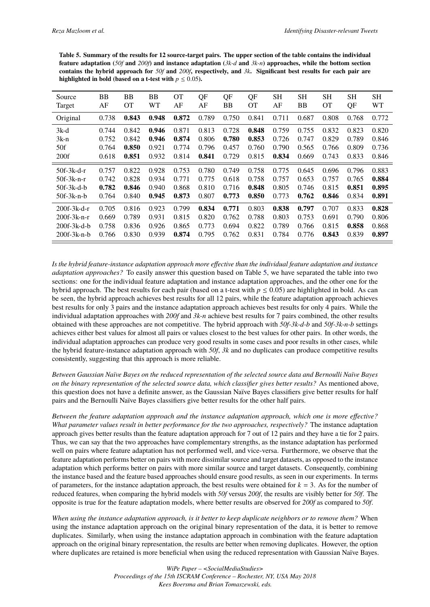<span id="page-7-0"></span>**Table 5. Summary of the results for 12 source-target pairs. The upper section of the table contains the individual feature adaptation (***50f* **and** *200f***) and instance adaptation (***3k-d* **and** *3k-n***) approaches, while the bottom section contains the hybrid approach for** *50f* **and** *200f***, respectively, and** *3k***. Significant best results for each pair are highlighted in bold (based on a t-test with**  $p \leq 0.05$ **).** 

| Source<br>Target | BB<br>AF | ВB<br>OТ | BB<br>WТ | <b>OT</b><br>AF | QF<br>AF | QF<br>BB | QF<br><b>OT</b> | SН<br>AF | SН<br>BB | <b>SH</b><br>OТ | <b>SH</b><br>QF | <b>SH</b><br><b>WT</b> |
|------------------|----------|----------|----------|-----------------|----------|----------|-----------------|----------|----------|-----------------|-----------------|------------------------|
| Original         | 0.738    | 0.843    | 0.948    | 0.872           | 0.789    | 0.750    | 0.841           | 0.711    | 0.687    | 0.808           | 0.768           | 0.772                  |
| $3k-d$           | 0.744    | 0.842    | 0.946    | 0.871           | 0.813    | 0.728    | 0.848           | 0.759    | 0.755    | 0.832           | 0.823           | 0.820                  |
| $3k-n$           | 0.752    | 0.842    | 0.946    | 0.874           | 0.806    | 0.780    | 0.853           | 0.726    | 0.747    | 0.829           | 0.789           | 0.846                  |
| 50f              | 0.764    | 0.850    | 0.921    | 0.774           | 0.796    | 0.457    | 0.760           | 0.790    | 0.565    | 0.766           | 0.809           | 0.736                  |
| 200f             | 0.618    | 0.851    | 0.932    | 0.814           | 0.841    | 0.729    | 0.815           | 0.834    | 0.669    | 0.743           | 0.833           | 0.846                  |
| $50f-3k-d-r$     | 0.757    | 0.822    | 0.928    | 0.753           | 0.780    | 0.749    | 0.758           | 0.775    | 0.645    | 0.696           | 0.796           | 0.883                  |
| $50f-3k-n-r$     | 0.742    | 0.828    | 0.934    | 0.771           | 0.775    | 0.618    | 0.758           | 0.757    | 0.653    | 0.757           | 0.765           | 0.884                  |
| $50f-3k-d-b$     | 0.782    | 0.846    | 0.940    | 0.868           | 0.810    | 0.716    | 0.848           | 0.805    | 0.746    | 0.815           | 0.851           | 0.895                  |
| $50f-3k-n-b$     | 0.764    | 0.840    | 0.945    | 0.873           | 0.807    | 0.773    | 0.850           | 0.773    | 0.762    | 0.846           | 0.834           | 0.891                  |
| 200f-3k-d-r      | 0.705    | 0.816    | 0.923    | 0.799           | 0.834    | 0.771    | 0.803           | 0.838    | 0.797    | 0.707           | 0.833           | 0.828                  |
| $200f-3k-n-r$    | 0.669    | 0.789    | 0.931    | 0.815           | 0.820    | 0.762    | 0.788           | 0.803    | 0.753    | 0.691           | 0.790           | 0.806                  |
| $200f-3k-d-b$    | 0.758    | 0.836    | 0.926    | 0.865           | 0.773    | 0.694    | 0.822           | 0.789    | 0.766    | 0.815           | 0.858           | 0.868                  |
| $200f-3k-n-b$    | 0.766    | 0.830    | 0.939    | 0.874           | 0.795    | 0.762    | 0.831           | 0.784    | 0.776    | 0.843           | 0.839           | 0.897                  |

*Is the hybrid feature-instance adaptation approach more effective than the individual feature adaptation and instance adaptation approaches?* To easily answer this question based on Table [5,](#page-7-0) we have separated the table into two sections: one for the individual feature adaptation and instance adaptation approaches, and the other one for the hybrid approach. The best results for each pair (based on a t-test with  $p \le 0.05$ ) are highlighted in bold. As can be seen, the hybrid approach achieves best results for all 12 pairs, while the feature adaptation approach achieves best results for only 3 pairs and the instance adaptation approach achieves best results for only 4 pairs. While the individual adaptation approaches with *200f* and *3k-n* achieve best results for 7 pairs combined, the other results obtained with these approaches are not competitive. The hybrid approach with *50f-3k-d-b* and *50f-3k-n-b* settings achieves either best values for almost all pairs or values closest to the best values for other pairs. In other words, the individual adaptation approaches can produce very good results in some cases and poor results in other cases, while the hybrid feature-instance adaptation approach with *50f*, *3k* and no duplicates can produce competitive results consistently, suggesting that this approach is more reliable.

*Between Gaussian Naïve Bayes on the reduced representation of the selected source data and Bernoulli Naïve Bayes on the binary representation of the selected source data, which classifier gives better results?* As mentioned above, this question does not have a definite answer, as the Gaussian Naïve Bayes classifiers give better results for half pairs and the Bernoulli Naïve Bayes classifiers give better results for the other half pairs.

*Between the feature adaptation approach and the instance adaptation approach, which one is more effective? What parameter values result in better performance for the two approaches, respectively?* The instance adaptation approach gives better results than the feature adaptation approach for 7 out of 12 pairs and they have a tie for 2 pairs. Thus, we can say that the two approaches have complementary strengths, as the instance adaptation has performed well on pairs where feature adaptation has not performed well, and vice-versa. Furthermore, we observe that the feature adaptation performs better on pairs with more dissimilar source and target datasets, as opposed to the instance adaptation which performs better on pairs with more similar source and target datasets. Consequently, combining the instance based and the feature based approaches should ensure good results, as seen in our experiments. In terms of parameters, for the instance adaptation approach, the best results were obtained for  $k = 3$ . As for the number of reduced features, when comparing the hybrid models with *50f* versus *200f*, the results are visibly better for *50f*. The opposite is true for the feature adaptation models, where better results are observed for *200f* as compared to *50f*.

*When using the instance adaptation approach, is it better to keep duplicate neighbors or to remove them?* When using the instance adaptation approach on the original binary representation of the data, it is better to remove duplicates. Similarly, when using the instance adaptation approach in combination with the feature adaptation approach on the original binary representation, the results are better when removing duplicates. However, the option where duplicates are retained is more beneficial when using the reduced representation with Gaussian Naïve Bayes.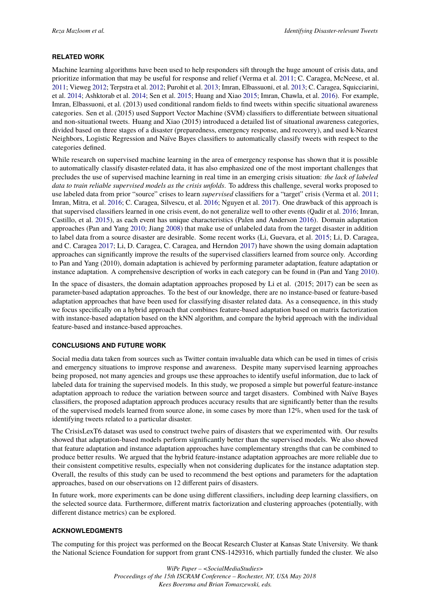#### **RELATED WORK**

Machine learning algorithms have been used to help responders sift through the huge amount of crisis data, and prioritize information that may be useful for response and relief (Verma et al. [2011;](#page-10-4) C. Caragea, McNeese, et al. [2011;](#page-9-9) Vieweg [2012;](#page-10-10) Terpstra et al. [2012;](#page-10-11) Purohit et al. [2013;](#page-10-12) Imran, Elbassuoni, et al. [2013;](#page-9-3) C. Caragea, Squicciarini, et al. [2014;](#page-9-10) Ashktorab et al. [2014;](#page-9-11) Sen et al. [2015;](#page-10-13) Huang and Xiao [2015;](#page-9-12) Imran, Chawla, et al. [2016\)](#page-9-13). For example, Imran, Elbassuoni, et al. (2013) used conditional random fields to find tweets within specific situational awareness categories. Sen et al. (2015) used Support Vector Machine (SVM) classifiers to differentiate between situational and non-situational tweets. Huang and Xiao (2015) introduced a detailed list of situational awareness categories, divided based on three stages of a disaster (preparedness, emergency response, and recovery), and used k-Nearest Neighbors, Logistic Regression and Naïve Bayes classifiers to automatically classify tweets with respect to the categories defined.

While research on supervised machine learning in the area of emergency response has shown that it is possible to automatically classify disaster-related data, it has also emphasized one of the most important challenges that precludes the use of supervised machine learning in real time in an emerging crisis situation: *the lack of labeled data to train reliable supervised models as the crisis unfolds*. To address this challenge, several works proposed to use labeled data from prior "source" crises to learn *supervised* classifiers for a "target" crisis (Verma et al. [2011;](#page-10-4) Imran, Mitra, et al. [2016;](#page-9-4) C. Caragea, Silvescu, et al. [2016;](#page-9-14) Nguyen et al. [2017\)](#page-10-14). One drawback of this approach is that supervised classifiers learned in one crisis event, do not generalize well to other events (Qadir et al. [2016;](#page-10-3) Imran, Castillo, et al. [2015\)](#page-9-1), as each event has unique characteristics (Palen and Anderson [2016\)](#page-10-5). Domain adaptation approaches (Pan and Yang [2010;](#page-10-6) Jiang [2008\)](#page-9-5) that make use of unlabeled data from the target disaster in addition to label data from a source disaster are desirable. Some recent works (Li, Guevara, et al. [2015;](#page-10-7) Li, D. Caragea, and C. Caragea [2017;](#page-9-15) Li, D. Caragea, C. Caragea, and Herndon [2017\)](#page-9-6) have shown the using domain adaptation approaches can significantly improve the results of the supervised classifiers learned from source only. According to Pan and Yang (2010), domain adaptation is achieved by performing parameter adaptation, feature adaptation or instance adaptation. A comprehensive description of works in each category can be found in (Pan and Yang [2010\)](#page-10-6).

In the space of disasters, the domain adaptation approaches proposed by Li et al. (2015; 2017) can be seen as parameter-based adaptation approaches. To the best of our knowledge, there are no instance-based or feature-based adaptation approaches that have been used for classifying disaster related data. As a consequence, in this study we focus specifically on a hybrid approach that combines feature-based adaptation based on matrix factorization with instance-based adaptation based on the kNN algorithm, and compare the hybrid approach with the individual feature-based and instance-based approaches.

#### **CONCLUSIONS AND FUTURE WORK**

Social media data taken from sources such as Twitter contain invaluable data which can be used in times of crisis and emergency situations to improve response and awareness. Despite many supervised learning approaches being proposed, not many agencies and groups use these approaches to identify useful information, due to lack of labeled data for training the supervised models. In this study, we proposed a simple but powerful feature-instance adaptation approach to reduce the variation between source and target disasters. Combined with Naïve Bayes classifiers, the proposed adaptation approach produces accuracy results that are significantly better than the results of the supervised models learned from source alone, in some cases by more than 12%, when used for the task of identifying tweets related to a particular disaster.

The CrisisLexT6 dataset was used to construct twelve pairs of disasters that we experimented with. Our results showed that adaptation-based models perform significantly better than the supervised models. We also showed that feature adaptation and instance adaptation approaches have complementary strengths that can be combined to produce better results. We argued that the hybrid feature-instance adaptation approaches are more reliable due to their consistent competitive results, especially when not considering duplicates for the instance adaptation step. Overall, the results of this study can be used to recommend the best options and parameters for the adaptation approaches, based on our observations on 12 different pairs of disasters.

In future work, more experiments can be done using different classifiers, including deep learning classifiers, on the selected source data. Furthermore, different matrix factorization and clustering approaches (potentially, with different distance metrics) can be explored.

#### **ACKNOWLEDGMENTS**

The computing for this project was performed on the Beocat Research Cluster at Kansas State University. We thank the National Science Foundation for support from grant CNS-1429316, which partially funded the cluster. We also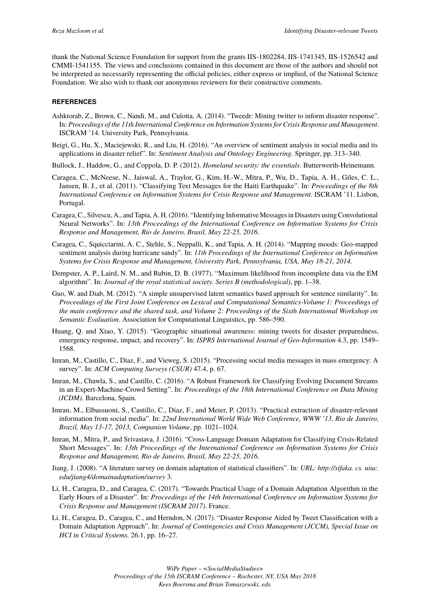thank the National Science Foundation for support from the grants IIS-1802284, IIS-1741345, IIS-1526542 and CMMI-1541155. The views and conclusions contained in this document are those of the authors and should not be interpreted as necessarily representing the official policies, either express or implied, of the National Science Foundation. We also wish to thank our anonymous reviewers for their constructive comments.

#### **REFERENCES**

- <span id="page-9-11"></span>Ashktorab, Z., Brown, C., Nandi, M., and Culotta, A. (2014). "Tweedr: Mining twitter to inform disaster response". In: *Proceedings of the 11th International Conference on Information Systems for Crisis Response and Management*. ISCRAM '14. University Park, Pennsylvania.
- <span id="page-9-2"></span>Beigi, G., Hu, X., Maciejewski, R., and Liu, H. (2016). "An overview of sentiment analysis in social media and its applications in disaster relief". In: *Sentiment Analysis and Ontology Engineering*. Springer, pp. 313–340.
- <span id="page-9-0"></span>Bullock, J., Haddow, G., and Coppola, D. P. (2012). *Homeland security: the essentials*. Butterworth-Heinemann.
- <span id="page-9-9"></span>Caragea, C., McNeese, N., Jaiswal, A., Traylor, G., Kim, H.-W., Mitra, P., Wu, D., Tapia, A. H., Giles, C. L., Jansen, B. J., et al. (2011). "Classifying Text Messages for the Haiti Earthquake". In: *Proceedings of the 8th International Conference on Information Systems for Crisis Response and Management*. ISCRAM '11. Lisbon, Portugal.
- <span id="page-9-14"></span>Caragea, C., Silvescu, A., and Tapia, A. H. (2016). "Identifying Informative Messages in Disasters using Convolutional Neural Networks". In: *13th Proceedings of the International Conference on Information Systems for Crisis Response and Management, Rio de Janeiro, Brasil, May 22-25, 2016.*
- <span id="page-9-10"></span>Caragea, C., Squicciarini, A. C., Stehle, S., Neppalli, K., and Tapia, A. H. (2014). "Mapping moods: Geo-mapped sentiment analysis during hurricane sandy". In: *11th Proceedings of the International Conference on Information Systems for Crisis Response and Management, University Park, Pennsylvania, USA, May 18-21, 2014.*
- <span id="page-9-7"></span>Dempster, A. P., Laird, N. M., and Rubin, D. B. (1977). "Maximum likelihood from incomplete data via the EM algorithm". In: *Journal of the royal statistical society. Series B (methodological)*, pp. 1–38.
- <span id="page-9-8"></span>Guo, W. and Diab, M. (2012). "A simple unsupervised latent semantics based approach for sentence similarity". In: *Proceedings of the First Joint Conference on Lexical and Computational Semantics-Volume 1: Proceedings of the main conference and the shared task, and Volume 2: Proceedings of the Sixth International Workshop on Semantic Evaluation*. Association for Computational Linguistics, pp. 586–590.
- <span id="page-9-12"></span>Huang, Q. and Xiao, Y. (2015). "Geographic situational awareness: mining tweets for disaster preparedness, emergency response, impact, and recovery". In: *ISPRS International Journal of Geo-Information* 4.3, pp. 1549– 1568.
- <span id="page-9-1"></span>Imran, M., Castillo, C., Diaz, F., and Vieweg, S. (2015). "Processing social media messages in mass emergency: A survey". In: *ACM Computing Surveys (CSUR)* 47.4, p. 67.
- <span id="page-9-13"></span>Imran, M., Chawla, S., and Castillo, C. (2016). "A Robust Framework for Classifying Evolving Document Streams in an Expert-Machine-Crowd Setting". In: *Proceedings of the 18th International Conference on Data Mining (ICDM)*. Barcelona, Spain.
- <span id="page-9-3"></span>Imran, M., Elbassuoni, S., Castillo, C., Diaz, F., and Meier, P. (2013). "Practical extraction of disaster-relevant information from social media". In: *22nd International World Wide Web Conference, WWW '13, Rio de Janeiro, Brazil, May 13-17, 2013, Companion Volume*, pp. 1021–1024.
- <span id="page-9-4"></span>Imran, M., Mitra, P., and Srivastava, J. (2016). "Cross-Language Domain Adaptation for Classifying Crisis-Related Short Messages". In: *13th Proceedings of the International Conference on Information Systems for Crisis Response and Management, Rio de Janeiro, Brasil, May 22-25, 2016.*
- <span id="page-9-5"></span>Jiang, J. (2008). "A literature survey on domain adaptation of statistical classifiers". In: *URL: http://sifaka. cs. uiuc. edu/jiang4/domainadaptation/survey* 3.
- <span id="page-9-15"></span>Li, H., Caragea, D., and Caragea, C. (2017). "Towards Practical Usage of a Domain Adaptation Algorithm in the Early Hours of a Disaster". In: *Proceedings of the 14th International Conference on Information Systems for Crisis Response and Management (ISCRAM 2017)*. France.
- <span id="page-9-6"></span>Li, H., Caragea, D., Caragea, C., and Herndon, N. (2017). "Disaster Response Aided by Tweet Classification with a Domain Adaptation Approach". In: *Journal of Contingencies and Crisis Management (JCCM), Special Issue on HCI in Critical Systems.* 26.1, pp. 16–27.